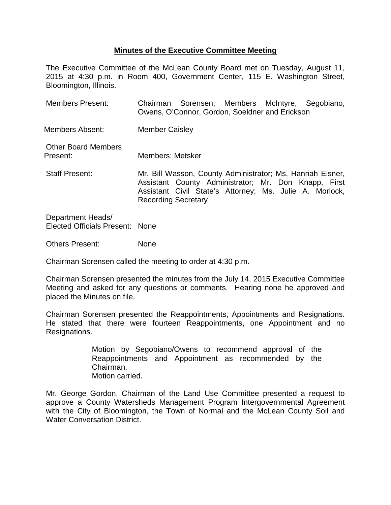## **Minutes of the Executive Committee Meeting**

The Executive Committee of the McLean County Board met on Tuesday, August 11, 2015 at 4:30 p.m. in Room 400, Government Center, 115 E. Washington Street, Bloomington, Illinois.

| <b>Members Present:</b>                |                            | Owens, O'Connor, Gordon, Soeldner and Erickson                                                                                                                               |  | Chairman Sorensen, Members McIntyre, Segobiano, |
|----------------------------------------|----------------------------|------------------------------------------------------------------------------------------------------------------------------------------------------------------------------|--|-------------------------------------------------|
| Members Absent:                        | <b>Member Caisley</b>      |                                                                                                                                                                              |  |                                                 |
| <b>Other Board Members</b><br>Present: | Members: Metsker           |                                                                                                                                                                              |  |                                                 |
| <b>Staff Present:</b>                  | <b>Recording Secretary</b> | Mr. Bill Wasson, County Administrator; Ms. Hannah Eisner,<br>Assistant County Administrator; Mr. Don Knapp, First<br>Assistant Civil State's Attorney; Ms. Julie A. Morlock, |  |                                                 |

Department Heads/ Elected Officials Present: None

Others Present: None

Chairman Sorensen called the meeting to order at 4:30 p.m.

Chairman Sorensen presented the minutes from the July 14, 2015 Executive Committee Meeting and asked for any questions or comments. Hearing none he approved and placed the Minutes on file.

Chairman Sorensen presented the Reappointments, Appointments and Resignations. He stated that there were fourteen Reappointments, one Appointment and no Resignations.

> Motion by Segobiano/Owens to recommend approval of the Reappointments and Appointment as recommended by the Chairman. Motion carried.

Mr. George Gordon, Chairman of the Land Use Committee presented a request to approve a County Watersheds Management Program Intergovernmental Agreement with the City of Bloomington, the Town of Normal and the McLean County Soil and Water Conversation District.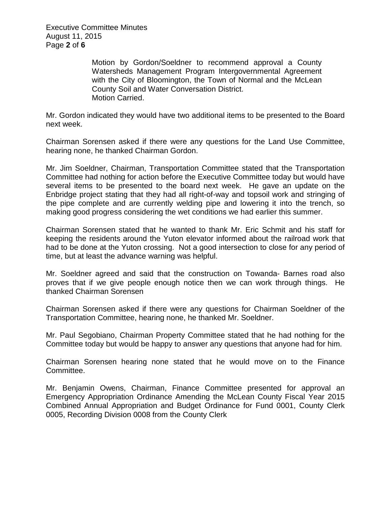Executive Committee Minutes August 11, 2015 Page **2** of **6**

> Motion by Gordon/Soeldner to recommend approval a County Watersheds Management Program Intergovernmental Agreement with the City of Bloomington, the Town of Normal and the McLean County Soil and Water Conversation District. Motion Carried.

Mr. Gordon indicated they would have two additional items to be presented to the Board next week.

Chairman Sorensen asked if there were any questions for the Land Use Committee, hearing none, he thanked Chairman Gordon.

Mr. Jim Soeldner, Chairman, Transportation Committee stated that the Transportation Committee had nothing for action before the Executive Committee today but would have several items to be presented to the board next week. He gave an update on the Enbridge project stating that they had all right-of-way and topsoil work and stringing of the pipe complete and are currently welding pipe and lowering it into the trench, so making good progress considering the wet conditions we had earlier this summer.

Chairman Sorensen stated that he wanted to thank Mr. Eric Schmit and his staff for keeping the residents around the Yuton elevator informed about the railroad work that had to be done at the Yuton crossing. Not a good intersection to close for any period of time, but at least the advance warning was helpful.

Mr. Soeldner agreed and said that the construction on Towanda- Barnes road also proves that if we give people enough notice then we can work through things. He thanked Chairman Sorensen

Chairman Sorensen asked if there were any questions for Chairman Soeldner of the Transportation Committee, hearing none, he thanked Mr. Soeldner.

Mr. Paul Segobiano, Chairman Property Committee stated that he had nothing for the Committee today but would be happy to answer any questions that anyone had for him.

Chairman Sorensen hearing none stated that he would move on to the Finance Committee.

Mr. Benjamin Owens, Chairman, Finance Committee presented for approval an Emergency Appropriation Ordinance Amending the McLean County Fiscal Year 2015 Combined Annual Appropriation and Budget Ordinance for Fund 0001, County Clerk 0005, Recording Division 0008 from the County Clerk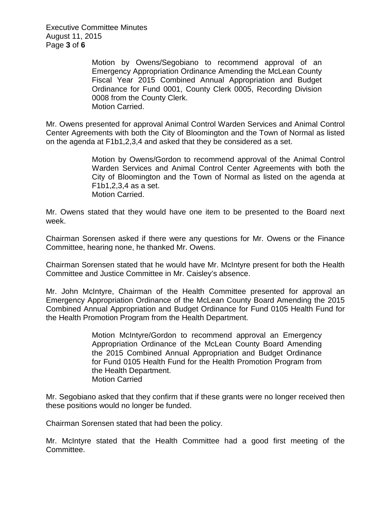Executive Committee Minutes August 11, 2015 Page **3** of **6**

> Motion by Owens/Segobiano to recommend approval of an Emergency Appropriation Ordinance Amending the McLean County Fiscal Year 2015 Combined Annual Appropriation and Budget Ordinance for Fund 0001, County Clerk 0005, Recording Division 0008 from the County Clerk. Motion Carried.

Mr. Owens presented for approval Animal Control Warden Services and Animal Control Center Agreements with both the City of Bloomington and the Town of Normal as listed on the agenda at F1b1,2,3,4 and asked that they be considered as a set.

> Motion by Owens/Gordon to recommend approval of the Animal Control Warden Services and Animal Control Center Agreements with both the City of Bloomington and the Town of Normal as listed on the agenda at F1b1,2,3,4 as a set. Motion Carried.

Mr. Owens stated that they would have one item to be presented to the Board next week.

Chairman Sorensen asked if there were any questions for Mr. Owens or the Finance Committee, hearing none, he thanked Mr. Owens.

Chairman Sorensen stated that he would have Mr. McIntyre present for both the Health Committee and Justice Committee in Mr. Caisley's absence.

Mr. John McIntyre, Chairman of the Health Committee presented for approval an Emergency Appropriation Ordinance of the McLean County Board Amending the 2015 Combined Annual Appropriation and Budget Ordinance for Fund 0105 Health Fund for the Health Promotion Program from the Health Department.

> Motion McIntyre/Gordon to recommend approval an Emergency Appropriation Ordinance of the McLean County Board Amending the 2015 Combined Annual Appropriation and Budget Ordinance for Fund 0105 Health Fund for the Health Promotion Program from the Health Department. Motion Carried

Mr. Segobiano asked that they confirm that if these grants were no longer received then these positions would no longer be funded.

Chairman Sorensen stated that had been the policy.

Mr. McIntyre stated that the Health Committee had a good first meeting of the Committee.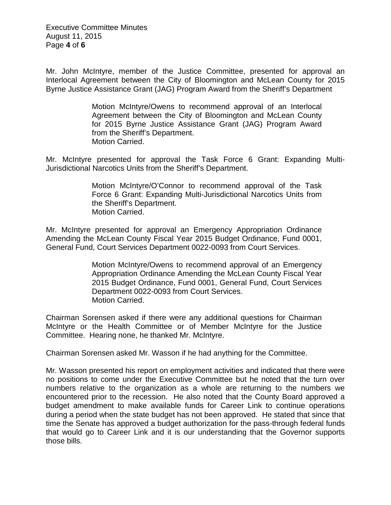Executive Committee Minutes August 11, 2015 Page **4** of **6**

Mr. John McIntyre, member of the Justice Committee, presented for approval an Interlocal Agreement between the City of Bloomington and McLean County for 2015 Byrne Justice Assistance Grant (JAG) Program Award from the Sheriff's Department

> Motion McIntyre/Owens to recommend approval of an Interlocal Agreement between the City of Bloomington and McLean County for 2015 Byrne Justice Assistance Grant (JAG) Program Award from the Sheriff's Department. Motion Carried.

Mr. McIntyre presented for approval the Task Force 6 Grant: Expanding Multi-Jurisdictional Narcotics Units from the Sheriff's Department.

> Motion McIntyre/O'Connor to recommend approval of the Task Force 6 Grant: Expanding Multi-Jurisdictional Narcotics Units from the Sheriff's Department. Motion Carried.

Mr. McIntyre presented for approval an Emergency Appropriation Ordinance Amending the McLean County Fiscal Year 2015 Budget Ordinance, Fund 0001, General Fund, Court Services Department 0022-0093 from Court Services.

> Motion McIntyre/Owens to recommend approval of an Emergency Appropriation Ordinance Amending the McLean County Fiscal Year 2015 Budget Ordinance, Fund 0001, General Fund, Court Services Department 0022-0093 from Court Services. Motion Carried.

Chairman Sorensen asked if there were any additional questions for Chairman McIntyre or the Health Committee or of Member McIntyre for the Justice Committee. Hearing none, he thanked Mr. McIntyre.

Chairman Sorensen asked Mr. Wasson if he had anything for the Committee.

Mr. Wasson presented his report on employment activities and indicated that there were no positions to come under the Executive Committee but he noted that the turn over numbers relative to the organization as a whole are returning to the numbers we encountered prior to the recession. He also noted that the County Board approved a budget amendment to make available funds for Career Link to continue operations during a period when the state budget has not been approved. He stated that since that time the Senate has approved a budget authorization for the pass-through federal funds that would go to Career Link and it is our understanding that the Governor supports those bills.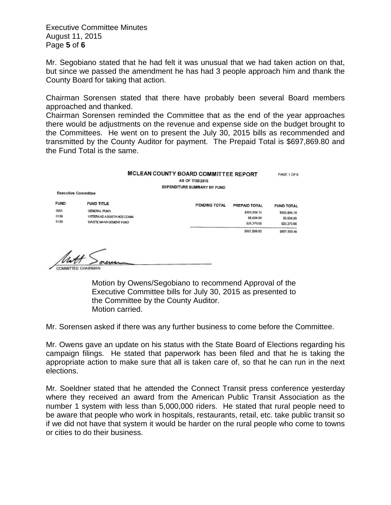Executive Committee Minutes August 11, 2015 Page **5** of **6**

Mr. Segobiano stated that he had felt it was unusual that we had taken action on that, but since we passed the amendment he has had 3 people approach him and thank the County Board for taking that action.

Chairman Sorensen stated that there have probably been several Board members approached and thanked.

Chairman Sorensen reminded the Committee that as the end of the year approaches there would be adjustments on the revenue and expense side on the budget brought to the Committees. He went on to present the July 30, 2015 bills as recommended and transmitted by the County Auditor for payment. The Prepaid Total is \$697,869.80 and the Fund Total is the same.

|                            | <b>MCLEAN COUNTY BOARD COMMITTEE REPORT</b><br>AS OF 7/30/2015 |                             |               |                   |  |
|----------------------------|----------------------------------------------------------------|-----------------------------|---------------|-------------------|--|
|                            |                                                                | EXPENDITURE SUMMARY BY FUND |               |                   |  |
| <b>Executive Committee</b> |                                                                |                             |               |                   |  |
| <b>FUND</b>                | <b>FUND TITLE</b>                                              | PENDING TOTAL               | PREPAID TOTAL | <b>FUND TOTAL</b> |  |
| 000t                       | GENERAL FUND                                                   |                             | \$665,894.15  | \$665,894.15      |  |
| 0136                       | VETERANS ASSISTANCE COMM.                                      |                             | \$6,604.99    | \$6,604.99        |  |
| 0159                       | WASTE MANAGEMENT FUND                                          |                             | \$25,370.66   | \$25,370.66       |  |
|                            |                                                                |                             | \$697,869.80  | \$697,869.80      |  |

 $\frac{1}{2}$ 

COMMITTEE CHAIRMAN

Motion by Owens/Segobiano to recommend Approval of the Executive Committee bills for July 30, 2015 as presented to the Committee by the County Auditor. Motion carried.

Mr. Sorensen asked if there was any further business to come before the Committee.

Mr. Owens gave an update on his status with the State Board of Elections regarding his campaign filings. He stated that paperwork has been filed and that he is taking the appropriate action to make sure that all is taken care of, so that he can run in the next elections.

Mr. Soeldner stated that he attended the Connect Transit press conference yesterday where they received an award from the American Public Transit Association as the number 1 system with less than 5,000,000 riders. He stated that rural people need to be aware that people who work in hospitals, restaurants, retail, etc. take public transit so if we did not have that system it would be harder on the rural people who come to towns or cities to do their business.